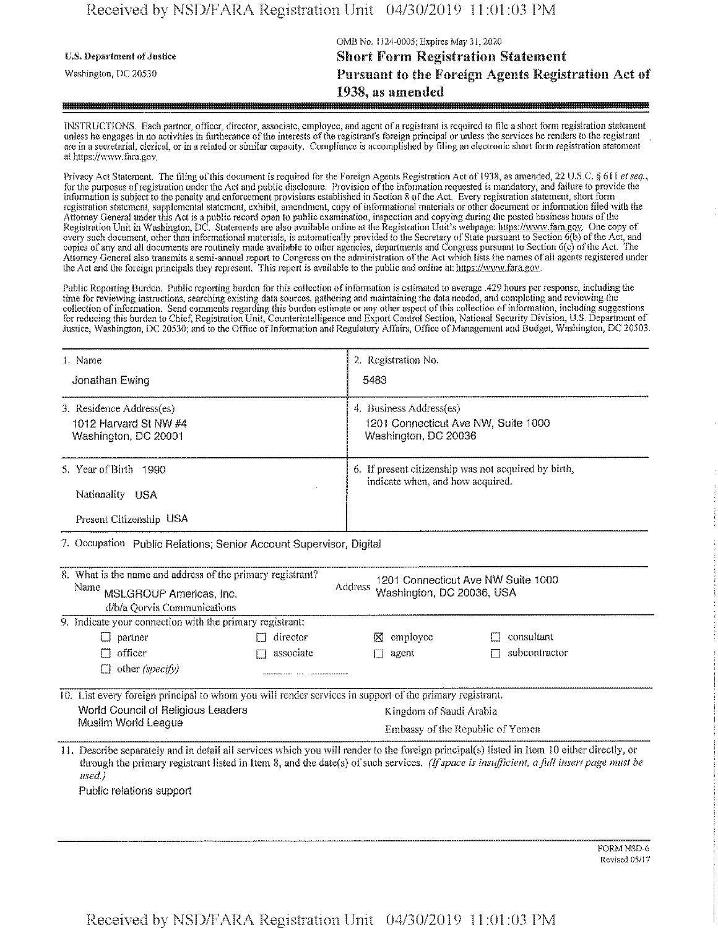## Received by NSD/FARA Registration Unit 04/30/2019 11:01:03 PM

|                                   | OMB No. 1124-0005; Expires May 31, 2020            |  |
|-----------------------------------|----------------------------------------------------|--|
| <b>U.S. Department of Justice</b> | <b>Short Form Registration Statement</b>           |  |
| Washington, DC 20530              | Pursuant to the Foreign Agents Registration Act of |  |
|                                   | 1938, as amended                                   |  |

INSTRUCTIONS. Each partner, officer, director, associate, employee, and agent of a registrant is required to file a short form registration statement unless he engages in no activities in furtherance of the interests of the registrant's foreign principal or unless the services he renders to the registrant are in a secretarial, clerical, or in a related orsimilar capacity. Compliance is accomplished by filing an electronic short form registration statement at https://www.fara.gov.

Privacy Act Statement. The filing of this document is required for the Foreign Agents Registration Act of 1938, as amended, 22 U.S.C. § 611 *et seq.*, for the purposes of registration under the Act and public disclosure. Provision of the information requested is mandatory, and failure to provide the information is subject to the penalty and enforcement provisions established iri Section 8 ofthe Act, Every registration statement, short form registration statement, supplemental statement, exhibit, amendment, copy ofinformational materials or other document or information filed with the Attorney General under this Act is a public record open to public examination, inspection and copying during the posted business hours ofthe Registration Unit in Washington, DC. Statements are also available online at the Registration Unit's webpage: https://www.fara.gov. One copy of every such document, other than informational materials, is automatically provided to the Secretary of State pursuant to Section 6(b) of the Act, and copies of any and all documents are routinely made available to other agencies, departments and Congress pursuant to Section 6(c) ofthe Act. The Attorney General also transmits a semi-annual report to Congress on the administration ofthe Act which lists the names of all agents registered under the Act and the foreign principals they represent. This report is available to the public and online at: https://www.fara.gov.

Public Reporting Burden. Public reporting burden for this collection ofinformation is estimated to average .429 hours per response, including the time for reviewing instructions, searching existing data sources, gathering and maintaining the data needed, and completing and reviewing the collection of information. Send comments regarding this burden estimate or any other aspect of this collection of information, including suggestions for reducing this burden to Chief, Registration Unit, Counterintelligence and Export Control Section, National Security Division, U.S. Department of Justice, Washington, DC 20530; and to the Office of Information and Regulatory Affairs, Office of Management and Budget, Washington, DC 20503.

| 1. Name                                                                         | 2. Registration No.                                                                      |
|---------------------------------------------------------------------------------|------------------------------------------------------------------------------------------|
| Jonathan Ewing                                                                  | 5483                                                                                     |
| 3. Residence Address(es)                                                        | 4. Business Address(es)                                                                  |
| 1012 Harvard St NW #4                                                           | 1201 Connecticut Ave NW, Suite 1000                                                      |
| Washington, DC 20001                                                            | Washington, DC 20036                                                                     |
| 5. Year of Birth 1990<br><b>Nationality</b><br>- USA<br>Present Citizenship USA | 6. If present citizenship was not acquired by birth,<br>indicate when, and how acquired. |

7. Occupation Public Relations; Senior Account Supervisor, Digital

| 8. What is the name and address of the primary registrant?<br>Name MSLGROUP Americas, Inc.<br>d/b/a Qorvis Communications |                                                          | Address                          | 1201 Connecticut Ave NW Suite 1000<br>Washington, DC 20036, USA                                                                          |  |  |  |
|---------------------------------------------------------------------------------------------------------------------------|----------------------------------------------------------|----------------------------------|------------------------------------------------------------------------------------------------------------------------------------------|--|--|--|
|                                                                                                                           | 9. Indicate your connection with the primary registrant: |                                  |                                                                                                                                          |  |  |  |
| $\Box$ partner                                                                                                            | director                                                 | $\boxtimes$ employee             | consultant                                                                                                                               |  |  |  |
| $\Box$ officer                                                                                                            | associate                                                | agent<br>H                       | subcontractor                                                                                                                            |  |  |  |
| $\Box$ other (specify)                                                                                                    |                                                          |                                  |                                                                                                                                          |  |  |  |
| 10. List every foreign principal to whom you will render services in support of the primary registrant.                   |                                                          |                                  |                                                                                                                                          |  |  |  |
| World Council of Religious Leaders                                                                                        |                                                          | Kingdom of Saudi Arabia          |                                                                                                                                          |  |  |  |
| Muslim World League                                                                                                       |                                                          | Embassy of the Republic of Yemen |                                                                                                                                          |  |  |  |
|                                                                                                                           |                                                          |                                  | 11. Decoupe congrately and in detail all cervices which you will render to the foreion principal(s) listed in Hem 10 either directly, or |  |  |  |

Describe separately and in detail all services which you will render to the foreign principal(s) listed in Item 10 either directly, or through the primary registrant listed in Item 8, and the date(s) of such services. *(If space is insufficient, a full insert page must be used.)*

Public relations support

FORM NSD-6 Revised 05/17